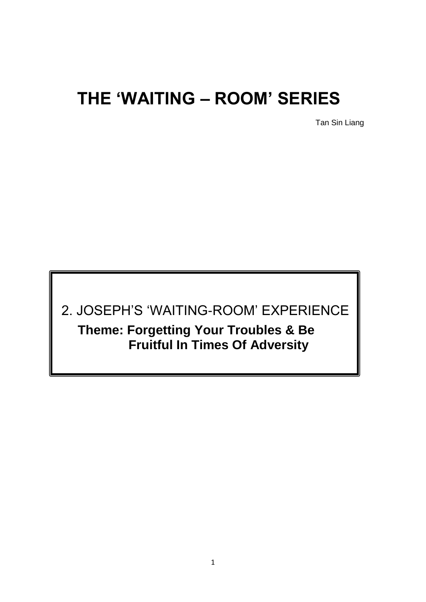# **THE 'WAITING – ROOM' SERIES**

Tan Sin Liang

2. JOSEPH'S 'WAITING-ROOM' EXPERIENCE **Theme: Forgetting Your Troubles & Be Fruitful In Times Of Adversity**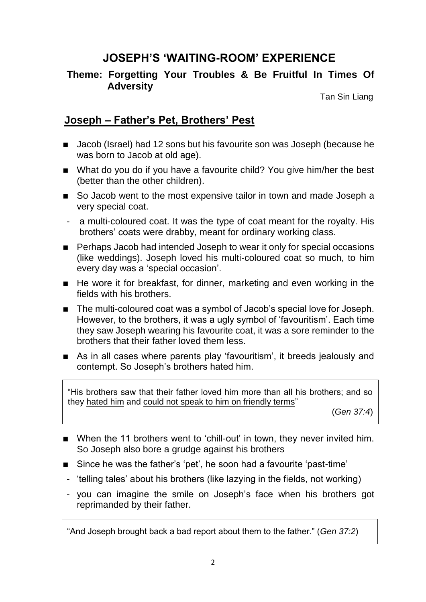## **JOSEPH'S 'WAITING-ROOM' EXPERIENCE**

#### **Theme: Forgetting Your Troubles & Be Fruitful In Times Of Adversity**

Tan Sin Liang

#### **Joseph – Father's Pet, Brothers' Pest**

- Jacob (Israel) had 12 sons but his favourite son was Joseph (because he was born to Jacob at old age).
- What do you do if you have a favourite child? You give him/her the best (better than the other children).
- So Jacob went to the most expensive tailor in town and made Joseph a very special coat.
- a multi-coloured coat. It was the type of coat meant for the royalty. His brothers' coats were drabby, meant for ordinary working class.
- Perhaps Jacob had intended Joseph to wear it only for special occasions (like weddings). Joseph loved his multi-coloured coat so much, to him every day was a 'special occasion'.
- $\blacksquare$  He wore it for breakfast, for dinner, marketing and even working in the fields with his brothers.
- The multi-coloured coat was a symbol of Jacob's special love for Joseph. However, to the brothers, it was a ugly symbol of 'favouritism'. Each time they saw Joseph wearing his favourite coat, it was a sore reminder to the brothers that their father loved them less.
- As in all cases where parents play 'favouritism', it breeds jealously and contempt. So Joseph's brothers hated him.

"His brothers saw that their father loved him more than all his brothers; and so they hated him and could not speak to him on friendly terms"

(*Gen 37:4*)

- When the 11 brothers went to 'chill-out' in town, they never invited him. So Joseph also bore a grudge against his brothers
- Since he was the father's 'pet', he soon had a favourite 'past-time'
- 'telling tales' about his brothers (like lazying in the fields, not working)
- you can imagine the smile on Joseph's face when his brothers got reprimanded by their father.

"And Joseph brought back a bad report about them to the father." (*Gen 37:2*)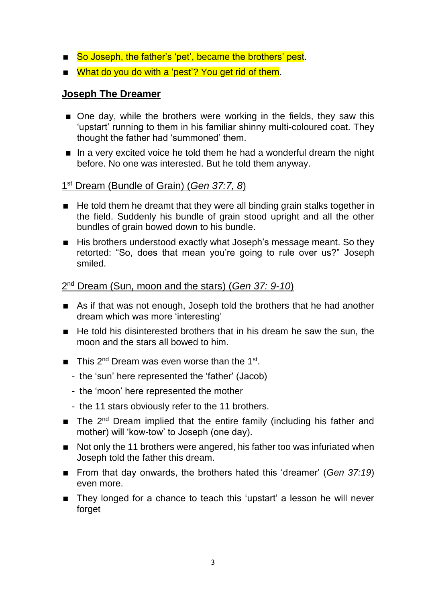- So Joseph, the father's 'pet', became the brothers' pest.
- What do you do with a 'pest'? You get rid of them.

#### **Joseph The Dreamer**

- One day, while the brothers were working in the fields, they saw this 'upstart' running to them in his familiar shinny multi-coloured coat. They thought the father had 'summoned' them.
- In a very excited voice he told them he had a wonderful dream the night before. No one was interested. But he told them anyway.

#### 1 st Dream (Bundle of Grain) (*Gen 37:7, 8*)

- He told them he dreamt that they were all binding grain stalks together in the field. Suddenly his bundle of grain stood upright and all the other bundles of grain bowed down to his bundle.
- His brothers understood exactly what Joseph's message meant. So they retorted: "So, does that mean you're going to rule over us?" Joseph smiled.

#### 2 nd Dream (Sun, moon and the stars) (*Gen 37: 9-10*)

- As if that was not enough, Joseph told the brothers that he had another dream which was more 'interesting'
- $\blacksquare$  He told his disinterested brothers that in his dream he saw the sun, the moon and the stars all bowed to him.
- $\blacksquare$  This 2<sup>nd</sup> Dream was even worse than the 1<sup>st</sup>.
	- the 'sun' here represented the 'father' (Jacob)
	- the 'moon' here represented the mother
	- the 11 stars obviously refer to the 11 brothers.
- $\blacksquare$  The 2<sup>nd</sup> Dream implied that the entire family (including his father and mother) will 'kow-tow' to Joseph (one day).
- Not only the 11 brothers were angered, his father too was infuriated when Joseph told the father this dream.
- From that day onwards, the brothers hated this 'dreamer' (*Gen 37:19*) even more.
- They longed for a chance to teach this 'upstart' a lesson he will never forget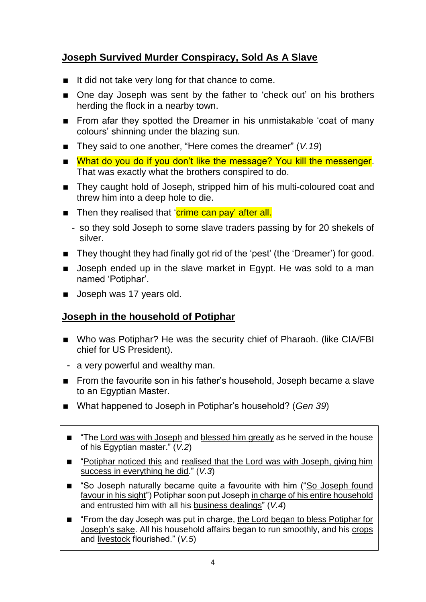## **Joseph Survived Murder Conspiracy, Sold As A Slave**

- $\blacksquare$  It did not take very long for that chance to come.
- One day Joseph was sent by the father to 'check out' on his brothers herding the flock in a nearby town.
- **From afar they spotted the Dreamer in his unmistakable 'coat of many** colours' shinning under the blazing sun.
- They said to one another, "Here comes the dreamer" (*V.19*)
- What do you do if you don't like the message? You kill the messenger. That was exactly what the brothers conspired to do.
- They caught hold of Joseph, stripped him of his multi-coloured coat and threw him into a deep hole to die.
- Then they realised that 'crime can pay' after all.
	- so they sold Joseph to some slave traders passing by for 20 shekels of silver.
- They thought they had finally got rid of the 'pest' (the 'Dreamer') for good.
- **Joseph ended up in the slave market in Egypt. He was sold to a man** named 'Potiphar'.
- **Joseph was 17 years old.**

### **Joseph in the household of Potiphar**

- Who was Potiphar? He was the security chief of Pharaoh. (like CIA/FBI chief for US President).
- a very powerful and wealthy man.
- **From the favourite son in his father's household, Joseph became a slave** to an Egyptian Master.
- What happened to Joseph in Potiphar's household? (*Gen 39*)
- "The Lord was with Joseph and blessed him greatly as he served in the house of his Egyptian master." (*V.2*)
- "Potiphar noticed this and realised that the Lord was with Joseph, giving him success in everything he did." (*V.3*)
- "So Joseph naturally became quite a favourite with him ("So Joseph found favour in his sight") Potiphar soon put Joseph in charge of his entire household and entrusted him with all his business dealings" (*V.4*)
- "From the day Joseph was put in charge, the Lord began to bless Potiphar for Joseph's sake. All his household affairs began to run smoothly, and his crops and livestock flourished." (*V.5*)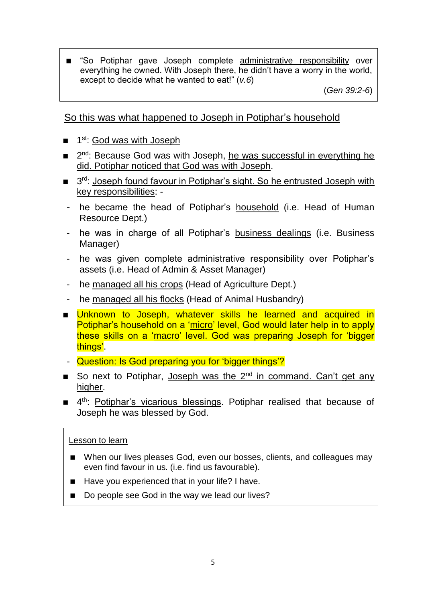"So Potiphar gave Joseph complete administrative responsibility over everything he owned. With Joseph there, he didn't have a worry in the world, except to decide what he wanted to eat!" (*v.6*)

(*Gen 39:2-6*)

So this was what happened to Joseph in Potiphar's household

- 1<sup>st</sup>: God was with Joseph
- 2<sup>nd</sup>: Because God was with Joseph, he was successful in everything he did. Potiphar noticed that God was with Joseph.
- 3<sup>rd</sup>: Joseph found favour in Potiphar's sight. So he entrusted Joseph with key responsibilities: -
- he became the head of Potiphar's household (i.e. Head of Human Resource Dept.)
- he was in charge of all Potiphar's business dealings (i.e. Business Manager)
- he was given complete administrative responsibility over Potiphar's assets (i.e. Head of Admin & Asset Manager)
- he managed all his crops (Head of Agriculture Dept.)
- he managed all his flocks (Head of Animal Husbandry)
- **Unknown to Joseph, whatever skills he learned and acquired in** Potiphar's household on a 'micro' level, God would later help in to apply these skills on a 'macro' level. God was preparing Joseph for 'bigger things'.
- Question: Is God preparing you for 'bigger things'?
- So next to Potiphar, Joseph was the  $2^{nd}$  in command. Can't get any higher.
- 4<sup>th</sup>: Potiphar's vicarious blessings. Potiphar realised that because of Joseph he was blessed by God.

#### Lesson to learn

- When our lives pleases God, even our bosses, clients, and colleagues may even find favour in us. (i.e. find us favourable).
- Have you experienced that in your life? I have.
- Do people see God in the way we lead our lives?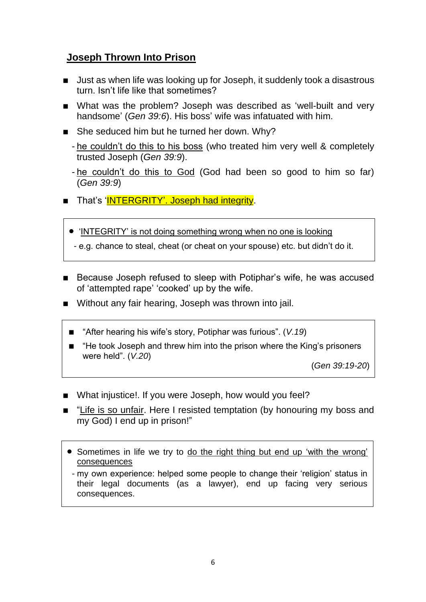## **Joseph Thrown Into Prison**

- Just as when life was looking up for Joseph, it suddenly took a disastrous turn. Isn't life like that sometimes?
- What was the problem? Joseph was described as 'well-built and very handsome' (*Gen 39:6*). His boss' wife was infatuated with him.
- She seduced him but he turned her down. Why?
	- he couldn't do this to his boss (who treated him very well & completely trusted Joseph (*Gen 39:9*).
	- he couldn't do this to God (God had been so good to him so far) (*Gen 39:9*)
- That's 'INTERGRITY'. Joseph had integrity.
	- 'INTEGRITY' is not doing something wrong when no one is looking
	- e.g. chance to steal, cheat (or cheat on your spouse) etc. but didn't do it.
- Because Joseph refused to sleep with Potiphar's wife, he was accused of 'attempted rape' 'cooked' up by the wife.
- Without any fair hearing, Joseph was thrown into jail.
	- "After hearing his wife's story, Potiphar was furious". (V.19)
	- "He took Joseph and threw him into the prison where the King's prisoners were held". (*V.20*)

(*Gen 39:19-20*)

- What injustice!. If you were Joseph, how would you feel?
- "Life is so unfair. Here I resisted temptation (by honouring my boss and my God) I end up in prison!"
	- Sometimes in life we try to do the right thing but end up 'with the wrong' consequences
	- my own experience: helped some people to change their 'religion' status in their legal documents (as a lawyer), end up facing very serious consequences.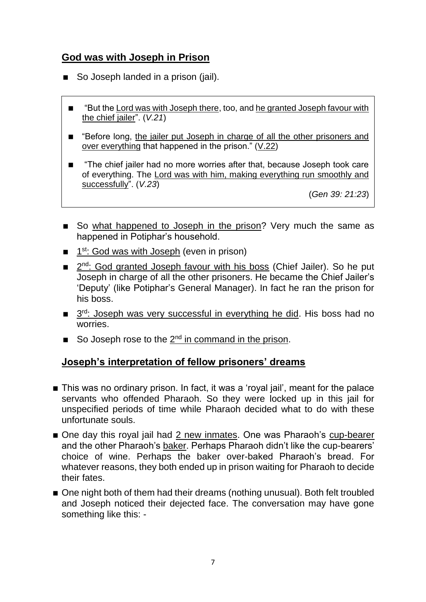#### **God was with Joseph in Prison**

- So Joseph landed in a prison (jail).
	- "But the Lord was with Joseph there, too, and he granted Joseph favour with the chief jailer". (*V.21*)
	- **EXECTE:** "Before long, the jailer put Joseph in charge of all the other prisoners and over everything that happened in the prison." (V.22)
	- "The chief jailer had no more worries after that, because Joseph took care of everything. The Lord was with him, making everything run smoothly and successfully". (*V.23*)

(*Gen 39: 21:23*)

- So what happened to Joseph in the prison? Very much the same as happened in Potiphar's household.
- $\blacksquare$  1<sup>st</sup>: God was with Joseph (even in prison)
- 2<sup>nd</sup>: God granted Joseph favour with his boss (Chief Jailer). So he put Joseph in charge of all the other prisoners. He became the Chief Jailer's 'Deputy' (like Potiphar's General Manager). In fact he ran the prison for his boss.
- 3<sup>rd</sup>: Joseph was very successful in everything he did. His boss had no worries.
- So Joseph rose to the  $2^{nd}$  in command in the prison.

#### **Joseph's interpretation of fellow prisoners' dreams**

- This was no ordinary prison. In fact, it was a 'royal jail', meant for the palace servants who offended Pharaoh. So they were locked up in this jail for unspecified periods of time while Pharaoh decided what to do with these unfortunate souls.
- One day this royal jail had 2 new inmates. One was Pharaoh's cup-bearer and the other Pharaoh's baker. Perhaps Pharaoh didn't like the cup-bearers' choice of wine. Perhaps the baker over-baked Pharaoh's bread. For whatever reasons, they both ended up in prison waiting for Pharaoh to decide their fates.
- One night both of them had their dreams (nothing unusual). Both felt troubled and Joseph noticed their dejected face. The conversation may have gone something like this: -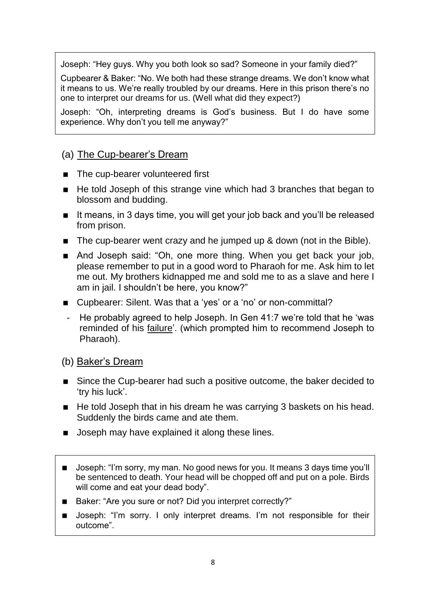Joseph: "Hey guys. Why you both look so sad? Someone in your family died?"

Cupbearer & Baker: "No. We both had these strange dreams. We don't know what it means to us. We're really troubled by our dreams. Here in this prison there's no one to interpret our dreams for us. (Well what did they expect?)

Joseph: "Oh, interpreting dreams is God's business. But I do have some experience. Why don't you tell me anyway?"

#### (a) The Cup-bearer's Dream

- The cup-bearer volunteered first
- $\blacksquare$  He told Joseph of this strange vine which had 3 branches that began to blossom and budding.
- It means, in 3 days time, you will get your job back and you'll be released from prison.
- The cup-bearer went crazy and he jumped up & down (not in the Bible).
- And Joseph said: "Oh, one more thing. When you get back your job, please remember to put in a good word to Pharaoh for me. Ask him to let me out. My brothers kidnapped me and sold me to as a slave and here I am in jail. I shouldn't be here, you know?"
- Cupbearer: Silent. Was that a 'yes' or a 'no' or non-committal?
- He probably agreed to help Joseph. In Gen 41:7 we're told that he 'was reminded of his failure'. (which prompted him to recommend Joseph to Pharaoh).

#### (b) Baker's Dream

- Since the Cup-bearer had such a positive outcome, the baker decided to 'try his luck'.
- $\blacksquare$  He told Joseph that in his dream he was carrying 3 baskets on his head. Suddenly the birds came and ate them.
- **Joseph may have explained it along these lines.**
- **Joseph: "I'm sorry, my man. No good news for you. It means 3 days time you'll** be sentenced to death. Your head will be chopped off and put on a pole. Birds will come and eat your dead body".
- Baker: "Are you sure or not? Did you interpret correctly?"
- Joseph: "I'm sorry. I only interpret dreams. I'm not responsible for their outcome".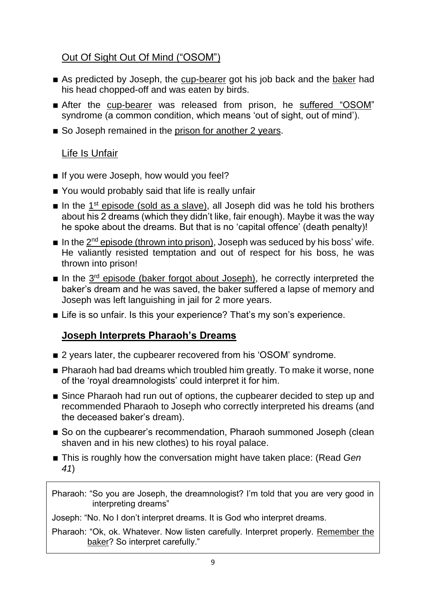## Out Of Sight Out Of Mind ("OSOM")

- As predicted by Joseph, the cup-bearer got his job back and the baker had his head chopped-off and was eaten by birds.
- After the cup-bearer was released from prison, he suffered "OSOM" syndrome (a common condition, which means 'out of sight, out of mind').
- So Joseph remained in the prison for another 2 years.

#### Life Is Unfair

- If you were Joseph, how would you feel?
- You would probably said that life is really unfair
- In the  $1<sup>st</sup>$  episode (sold as a slave), all Joseph did was he told his brothers about his 2 dreams (which they didn't like, fair enough). Maybe it was the way he spoke about the dreams. But that is no 'capital offence' (death penalty)!
- In the  $2^{nd}$  episode (thrown into prison), Joseph was seduced by his boss' wife. He valiantly resisted temptation and out of respect for his boss, he was thrown into prison!
- In the  $3<sup>rd</sup>$  episode (baker forgot about Joseph), he correctly interpreted the baker's dream and he was saved, the baker suffered a lapse of memory and Joseph was left languishing in jail for 2 more years.
- Life is so unfair. Is this your experience? That's my son's experience.

### **Joseph Interprets Pharaoh's Dreams**

- 2 years later, the cupbearer recovered from his 'OSOM' syndrome.
- Pharaoh had bad dreams which troubled him greatly. To make it worse, none of the 'royal dreamnologists' could interpret it for him.
- Since Pharaoh had run out of options, the cupbearer decided to step up and recommended Pharaoh to Joseph who correctly interpreted his dreams (and the deceased baker's dream).
- So on the cupbearer's recommendation, Pharaoh summoned Joseph (clean shaven and in his new clothes) to his royal palace.
- This is roughly how the conversation might have taken place: (Read *Gen 41*)

Pharaoh: "So you are Joseph, the dreamnologist? I'm told that you are very good in interpreting dreams"

Joseph: "No. No I don't interpret dreams. It is God who interpret dreams.

Pharaoh: "Ok, ok. Whatever. Now listen carefully. Interpret properly. Remember the baker? So interpret carefully."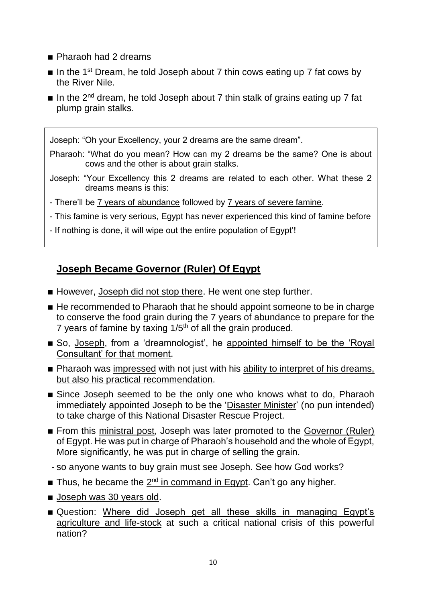- Pharaoh had 2 dreams
- In the 1<sup>st</sup> Dream, he told Joseph about 7 thin cows eating up 7 fat cows by the River Nile.
- In the  $2^{nd}$  dream, he told Joseph about 7 thin stalk of grains eating up 7 fat plump grain stalks.

Joseph: "Oh your Excellency, your 2 dreams are the same dream".

Pharaoh: "What do you mean? How can my 2 dreams be the same? One is about cows and the other is about grain stalks.

- Joseph: "Your Excellency this 2 dreams are related to each other. What these 2 dreams means is this:
- There'll be 7 years of abundance followed by 7 years of severe famine.
- This famine is very serious, Egypt has never experienced this kind of famine before
- If nothing is done, it will wipe out the entire population of Egypt'!

#### **Joseph Became Governor (Ruler) Of Egypt**

- However, Joseph did not stop there. He went one step further.
- He recommended to Pharaoh that he should appoint someone to be in charge to conserve the food grain during the 7 years of abundance to prepare for the 7 years of famine by taxing  $1/5$ <sup>th</sup> of all the grain produced.
- So, Joseph, from a 'dreamnologist', he appointed himself to be the 'Royal Consultant' for that moment.
- **Pharaoh was impressed with not just with his ability to interpret of his dreams,** but also his practical recommendation.
- Since Joseph seemed to be the only one who knows what to do, Pharaoh immediately appointed Joseph to be the 'Disaster Minister' (no pun intended) to take charge of this National Disaster Rescue Project.
- From this ministral post, Joseph was later promoted to the Governor (Ruler) of Egypt. He was put in charge of Pharaoh's household and the whole of Egypt, More significantly, he was put in charge of selling the grain.
- so anyone wants to buy grain must see Joseph. See how God works?
- Thus, he became the  $2<sup>nd</sup>$  in command in Egypt. Can't go any higher.
- **Joseph was 30 years old.**
- Question: Where did Joseph get all these skills in managing Egypt's agriculture and life-stock at such a critical national crisis of this powerful nation?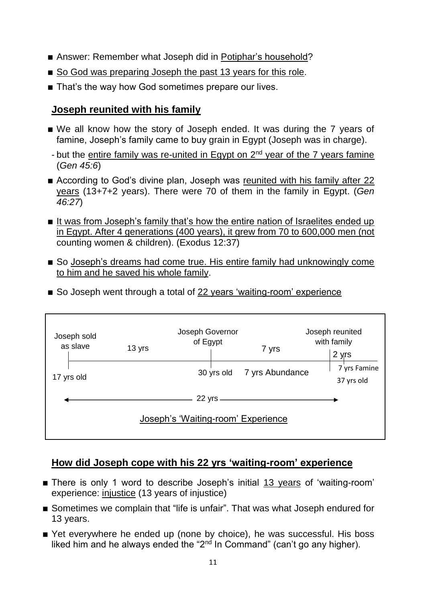- Answer: Remember what Joseph did in Potiphar's household?
- So God was preparing Joseph the past 13 years for this role.
- That's the way how God sometimes prepare our lives.

#### **Joseph reunited with his family**

- We all know how the story of Joseph ended. It was during the 7 years of famine, Joseph's family came to buy grain in Egypt (Joseph was in charge).
- but the entire family was re-united in Egypt on  $2<sup>nd</sup>$  year of the 7 years famine (*Gen 45:6*)
- According to God's divine plan, Joseph was reunited with his family after 22 years (13+7+2 years). There were 70 of them in the family in Egypt. (*Gen 46:27*)
- It was from Joseph's family that's how the entire nation of Israelites ended up in Egypt. After 4 generations (400 years), it grew from 70 to 600,000 men (not counting women & children). (Exodus 12:37)
- So Joseph's dreams had come true. His entire family had unknowingly come to him and he saved his whole family.
- So Joseph went through a total of 22 years 'waiting-room' experience

| Joseph sold<br>as slave            | 13 yrs | Joseph Governor<br>of Egypt |  | 7 yrs                      |  | Joseph reunited<br>with family<br>2 yrs |  |
|------------------------------------|--------|-----------------------------|--|----------------------------|--|-----------------------------------------|--|
| 17 yrs old                         |        |                             |  | 30 yrs old 7 yrs Abundance |  | 7 yrs Famine<br>37 yrs old              |  |
|                                    |        | 22 yrs -                    |  |                            |  |                                         |  |
| Joseph's 'Waiting-room' Experience |        |                             |  |                            |  |                                         |  |

#### **How did Joseph cope with his 22 yrs 'waiting-room' experience**

- There is only 1 word to describe Joseph's initial 13 years of 'waiting-room' experience: injustice (13 years of injustice)
- Sometimes we complain that "life is unfair". That was what Joseph endured for 13 years.
- Yet everywhere he ended up (none by choice), he was successful. His boss liked him and he always ended the "2<sup>nd</sup> In Command" (can't go any higher).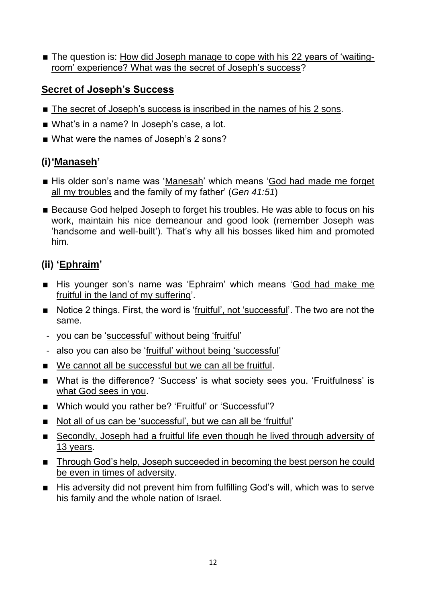■ The question is: How did Joseph manage to cope with his 22 years of 'waitingroom' experience? What was the secret of Joseph's success?

#### **Secret of Joseph's Success**

- The secret of Joseph's success is inscribed in the names of his 2 sons.
- What's in a name? In Joseph's case, a lot.
- What were the names of Joseph's 2 sons?

### **(i)'Manaseh'**

- His older son's name was 'Manesah' which means 'God had made me forget all my troubles and the family of my father' (*Gen 41:51*)
- Because God helped Joseph to forget his troubles. He was able to focus on his work, maintain his nice demeanour and good look (remember Joseph was 'handsome and well-built'). That's why all his bosses liked him and promoted him.

## **(ii) 'Ephraim'**

- His younger son's name was 'Ephraim' which means 'God had make me fruitful in the land of my suffering'.
- Notice 2 things. First, the word is 'fruitful', not 'successful'. The two are not the same.
- you can be 'successful' without being 'fruitful'
- also you can also be 'fruitful' without being 'successful'
- We cannot all be successful but we can all be fruitful.
- What is the difference? 'Success' is what society sees you. 'Fruitfulness' is what God sees in you.
- Which would you rather be? 'Fruitful' or 'Successful'?
- Not all of us can be 'successful', but we can all be 'fruitful'
- Secondly, Joseph had a fruitful life even though he lived through adversity of 13 years.
- **Through God's help, Joseph succeeded in becoming the best person he could** be even in times of adversity.
- $\blacksquare$  His adversity did not prevent him from fulfilling God's will, which was to serve his family and the whole nation of Israel.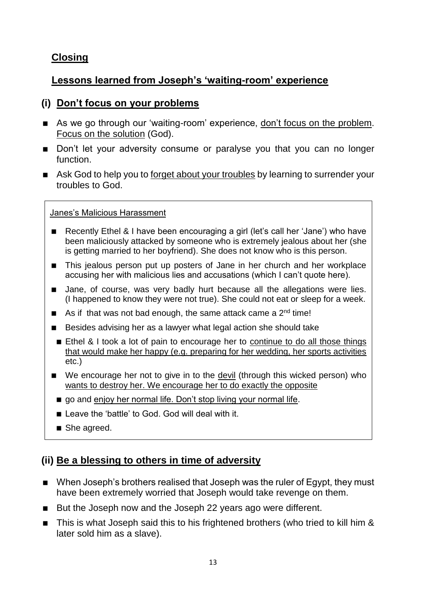## **Closing**

## **Lessons learned from Joseph's 'waiting-room' experience**

#### **(i) Don't focus on your problems**

- As we go through our 'waiting-room' experience, don't focus on the problem. Focus on the solution (God).
- Don't let your adversity consume or paralyse you that you can no longer function.
- Ask God to help you to forget about your troubles by learning to surrender your troubles to God.

#### Janes's Malicious Harassment

- Recently Ethel & I have been encouraging a girl (let's call her 'Jane') who have been maliciously attacked by someone who is extremely jealous about her (she is getting married to her boyfriend). She does not know who is this person.
- This jealous person put up posters of Jane in her church and her workplace accusing her with malicious lies and accusations (which I can't quote here).
- I Jane, of course, was very badly hurt because all the allegations were lies. (I happened to know they were not true). She could not eat or sleep for a week.
- $\blacksquare$  As if that was not bad enough, the same attack came a 2<sup>nd</sup> time!
- Besides advising her as a lawyer what legal action she should take
- Ethel & I took a lot of pain to encourage her to continue to do all those things that would make her happy (e.g. preparing for her wedding, her sports activities etc.)
- We encourage her not to give in to the devil (through this wicked person) who wants to destroy her. We encourage her to do exactly the opposite
	- go and enjoy her normal life. Don't stop living your normal life.
	- Leave the 'battle' to God. God will deal with it.
	- She agreed.

### **(ii) Be a blessing to others in time of adversity**

- When Joseph's brothers realised that Joseph was the ruler of Egypt, they must have been extremely worried that Joseph would take revenge on them.
- But the Joseph now and the Joseph 22 years ago were different.
- This is what Joseph said this to his frightened brothers (who tried to kill him & later sold him as a slave).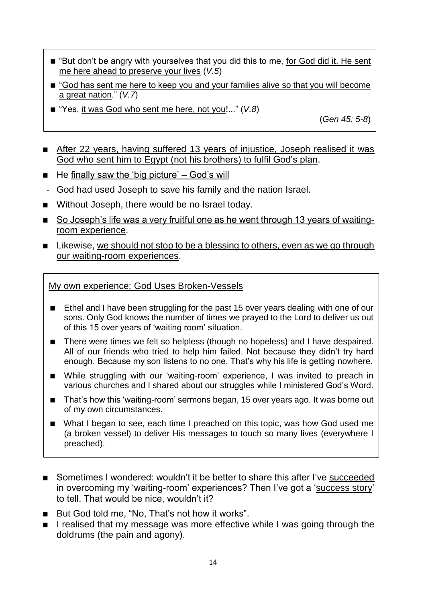- "But don't be angry with yourselves that you did this to me, for God did it. He sent me here ahead to preserve your lives (*V.5*)
- "God has sent me here to keep you and your families alive so that you will become a great nation." (*V.7*)
- "Yes, it was God who sent me here, not you!..." (*V.8*)

(*Gen 45: 5-8*)

- After 22 years, having suffered 13 years of injustice, Joseph realised it was God who sent him to Egypt (not his brothers) to fulfil God's plan.
- $\blacksquare$  He finally saw the 'big picture' God's will
- God had used Joseph to save his family and the nation Israel.
- Without Joseph, there would be no Israel today.
- So Joseph's life was a very fruitful one as he went through 13 years of waitingroom experience.
- Likewise, we should not stop to be a blessing to others, even as we go through our waiting-room experiences.

My own experience: God Uses Broken-Vessels

- Ethel and I have been struggling for the past 15 over years dealing with one of our sons. Only God knows the number of times we prayed to the Lord to deliver us out of this 15 over years of 'waiting room' situation.
- There were times we felt so helpless (though no hopeless) and I have despaired. All of our friends who tried to help him failed. Not because they didn't try hard enough. Because my son listens to no one. That's why his life is getting nowhere.
- While struggling with our 'waiting-room' experience, I was invited to preach in various churches and I shared about our struggles while I ministered God's Word.
- That's how this 'waiting-room' sermons began, 15 over years ago. It was borne out of my own circumstances.
- What I began to see, each time I preached on this topic, was how God used me (a broken vessel) to deliver His messages to touch so many lives (everywhere I preached).
- Sometimes I wondered: wouldn't it be better to share this after I've succeeded in overcoming my 'waiting-room' experiences? Then I've got a 'success story' to tell. That would be nice, wouldn't it?
- But God told me, "No, That's not how it works".
- I realised that my message was more effective while I was going through the doldrums (the pain and agony).